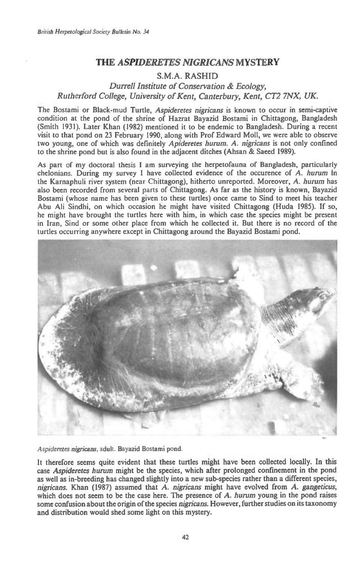# **THE** *ASPIDERETES NIGRICANS* **MYSTERY**

# **S.M.A. RASHID**

*Durrell Institute of Conservation & Ecology, Rutherford College, University of Kent, Canterbury, Kent, CT2 7NX, UK.* 

The Bostami or Black-mud Turtle, Aspideretes nigricans is known to occur in semi-captive condition at the pond of the shrine of Hazrat Bayazid Bostami in Chittagong, Bangladesh (Smith 1931). Later Khan (1982) mentioned it to be endemic to Bangladesh. During a recent visit to that pond on 23 February 1990, along with Prof Edward Moll, we were able to observe two young, one of which was definitely Apideretes hurum. A. nigricans is not only confined to the shrine pond but is also found in the adjacent ditches (Ahsan & Saeed 1989).

to the shrine pond but is also found in the adjacent ditches (Ansan & Saeed 1989).<br>As part of my doctoral thesis I am surveying the herpetofauna of Bangladesh, particularly As part of my doctoral thesis I am surveying the herpetofauna of Bangladesh, particularly chelonians. During my survey I have collected evidence of the occurence of A. hurum in the Karnaphuli river system (near Chittagong), hitherto unreported. Moreover, A. hurum has also been recorded from several parts of Chittagong. As far as the history is known, Bayazid Bostami (whose name has been given to these turtles) once came to Sind to meet his teacher Abu Ali Sindhi, on which occasion he might have visited Chittagong (Huda 1985). If so, he might have brought the turtles here with him, in which case the species might be present in Iran, Sind or some other place from which he collected it. But there is no record of the turtles occurring anywhere except in Chittagong around the Bayazid Bostami pond.



Aspideretes nigricans, adult. Bayazid Bostami pond.

It therefore seems quite evident that these turtles might have been collected locally. **In** this case Aspideretes hurum might be the species, which after prolonged confinement in the pond as well as in-breeding has changed slightly into a new sub-species rather than a different species, nigricans. Khan (1987) assumed that A. nigricans might have evolved from A. gangeticus, which does not seem to be the case here. The presence of A. hurum young in the pond raises some confusion about the origin of the species nigricans. However, further studies on its taxonomy and distribution would shed some light on this mystery.